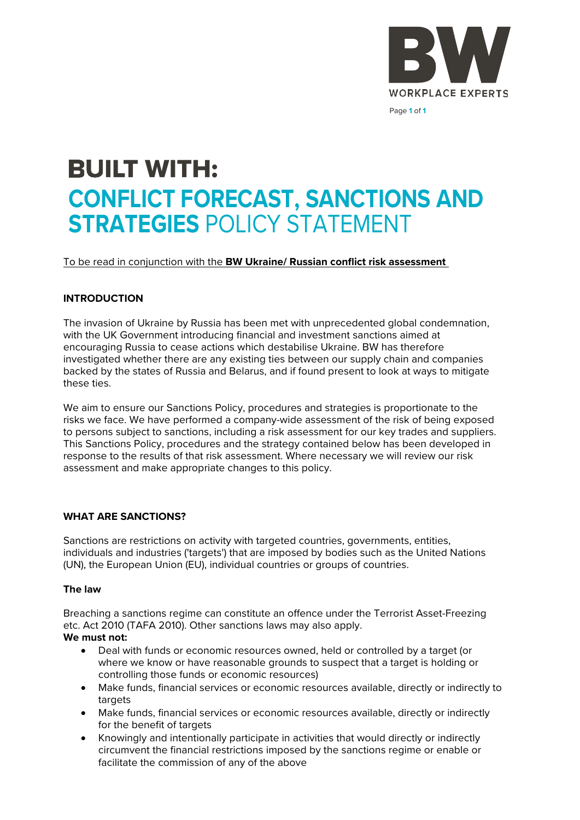

# **BUILT WITH: CONFLICT FORECAST, SANCTIONS AND STRATEGIES** POLICY STATEMENT

To be read in conjunction with the **BW Ukraine/ Russian conflict risk assessment**

# **INTRODUCTION**

The invasion of Ukraine by Russia has been met with unprecedented global condemnation, with the UK Government introducing financial and investment sanctions aimed at encouraging Russia to cease actions which destabilise Ukraine. BW has therefore investigated whether there are any existing ties between our supply chain and companies backed by the states of Russia and Belarus, and if found present to look at ways to mitigate these ties.

We aim to ensure our Sanctions Policy, procedures and strategies is proportionate to the risks we face. We have performed a company-wide assessment of the risk of being exposed to persons subject to sanctions, including a risk assessment for our key trades and suppliers. This Sanctions Policy, procedures and the strategy contained below has been developed in response to the results of that risk assessment. Where necessary we will review our risk assessment and make appropriate changes to this policy.

# **WHAT ARE SANCTIONS?**

Sanctions are restrictions on activity with targeted countries, governments, entities, individuals and industries ('targets') that are imposed by bodies such as the United Nations (UN), the European Union (EU), individual countries or groups of countries.

# **The law**

Breaching a sanctions regime can constitute an offence under the Terrorist Asset-Freezing etc. Act 2010 (TAFA 2010). Other sanctions laws may also apply.

# **We must not:**

- Deal with funds or economic resources owned, held or controlled by a target (or where we know or have reasonable grounds to suspect that a target is holding or controlling those funds or economic resources)
- Make funds, financial services or economic resources available, directly or indirectly to targets
- Make funds, financial services or economic resources available, directly or indirectly for the benefit of targets
- Knowingly and intentionally participate in activities that would directly or indirectly circumvent the financial restrictions imposed by the sanctions regime or enable or facilitate the commission of any of the above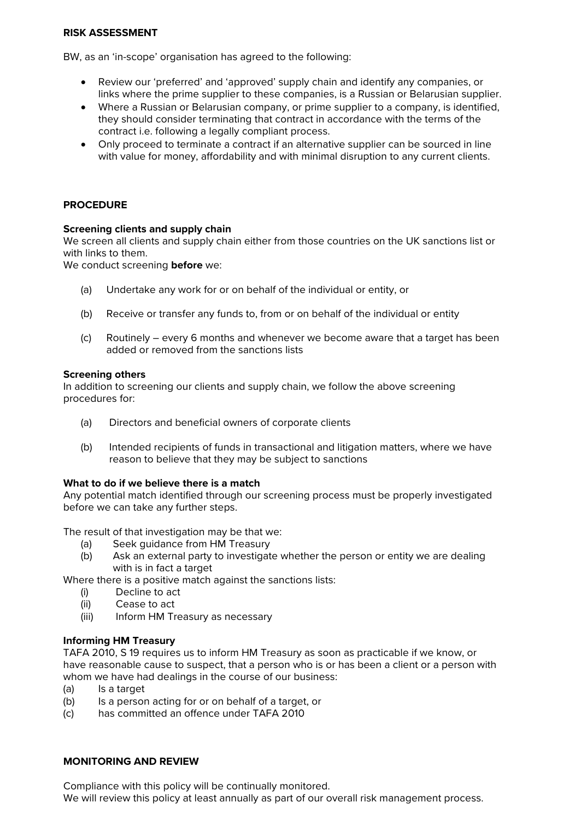## **RISK ASSESSMENT**

BW, as an 'in-scope' organisation has agreed to the following:

- Review our 'preferred' and 'approved' supply chain and identify any companies, or links where the prime supplier to these companies, is a Russian or Belarusian supplier.
- Where a Russian or Belarusian company, or prime supplier to a company, is identified, they should consider terminating that contract in accordance with the terms of the contract i.e. following a legally compliant process.
- Only proceed to terminate a contract if an alternative supplier can be sourced in line with value for money, affordability and with minimal disruption to any current clients.

# **PROCEDURE**

## **Screening clients and supply chain**

We screen all clients and supply chain either from those countries on the UK sanctions list or with links to them.

We conduct screening **before** we:

- (a) Undertake any work for or on behalf of the individual or entity, or
- (b) Receive or transfer any funds to, from or on behalf of the individual or entity
- (c) Routinely every 6 months and whenever we become aware that a target has been added or removed from the sanctions lists

## **Screening others**

In addition to screening our clients and supply chain, we follow the above screening procedures for:

- (a) Directors and beneficial owners of corporate clients
- (b) Intended recipients of funds in transactional and litigation matters, where we have reason to believe that they may be subject to sanctions

## **What to do if we believe there is a match**

Any potential match identified through our screening process must be properly investigated before we can take any further steps.

The result of that investigation may be that we:

- (a) Seek guidance from HM Treasury
- (b) Ask an external party to investigate whether the person or entity we are dealing with is in fact a target

Where there is a positive match against the sanctions lists:

- (i) Decline to act
- (ii) Cease to act
- (iii) Inform HM Treasury as necessary

## **Informing HM Treasury**

TAFA 2010, S 19 requires us to inform HM Treasury as soon as practicable if we know, or have reasonable cause to suspect, that a person who is or has been a client or a person with whom we have had dealings in the course of our business:

- (a) Is a target
- (b) Is a person acting for or on behalf of a target, or
- (c) has committed an offence under TAFA 2010

## **MONITORING AND REVIEW**

Compliance with this policy will be continually monitored.

We will review this policy at least annually as part of our overall risk management process.